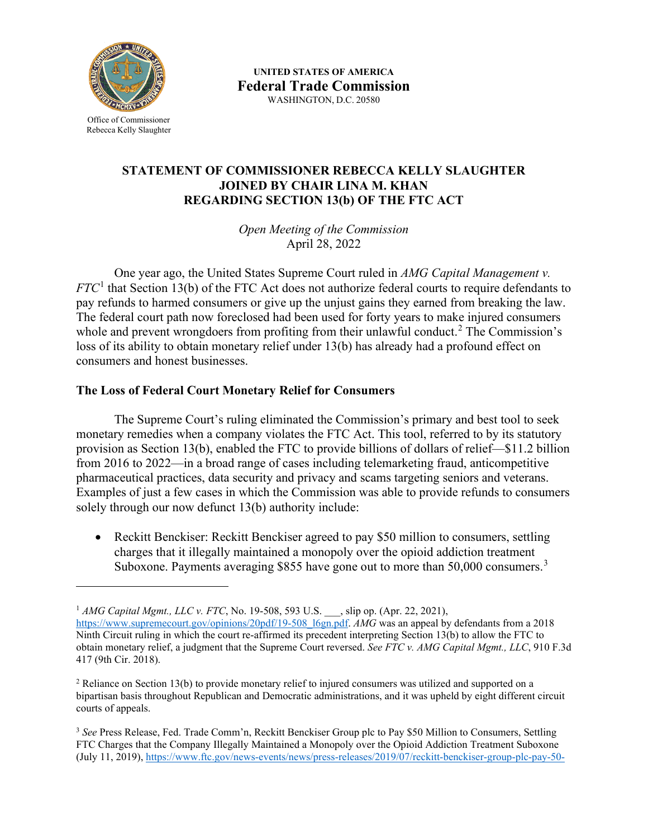

Office of Commissioner Rebecca Kelly Slaughter

 WASHINGTON, D.C. 20580 **UNITED STATES OF AMERICA Federal Trade Commission** 

## **STATEMENT OF COMMISSIONER REBECCA KELLY SLAUGHTER JOINED BY CHAIR LINA M. KHAN REGARDING SECTION 13(b) OF THE FTC ACT**

*Open Meeting of the Commission*  April 28, 2022

 *FTC*[1](#page-0-0) that Section 13(b) of the FTC Act does not authorize federal courts to require defendants to One year ago, the United States Supreme Court ruled in *AMG Capital Management v.*  pay refunds to harmed consumers or give up the unjust gains they earned from breaking the law. The federal court path now foreclosed had been used for forty years to make injured consumers whole and prevent wrongdoers from profiting from their unlawful conduct.<sup>[2](#page-0-1)</sup> The Commission's loss of its ability to obtain monetary relief under 13(b) has already had a profound effect on consumers and honest businesses.

## **The Loss of Federal Court Monetary Relief for Consumers**

 pharmaceutical practices, data security and privacy and scams targeting seniors and veterans. solely through our now defunct 13(b) authority include: The Supreme Court's ruling eliminated the Commission's primary and best tool to seek monetary remedies when a company violates the FTC Act. This tool, referred to by its statutory provision as Section 13(b), enabled the FTC to provide billions of dollars of relief—\$11.2 billion from 2016 to 2022—in a broad range of cases including telemarketing fraud, anticompetitive Examples of just a few cases in which the Commission was able to provide refunds to consumers

Suboxone. Payments averaging \$855 have gone out to more than  $50,000$  consumers.<sup>3</sup> • Reckitt Benckiser: Reckitt Benckiser agreed to pay \$50 million to consumers, settling charges that it illegally maintained a monopoly over the opioid addiction treatment

<span id="page-0-0"></span><sup>&</sup>lt;sup>1</sup> AMG Capital Mgmt., LLC v. FTC, No. 19-508, 593 U.S. \_\_\_, slip op. (Apr. 22, 2021),

 obtain monetary relief, a judgment that the Supreme Court reversed. *See FTC v. AMG Capital Mgmt., LLC*, 910 F.3d [https://www.supremecourt.gov/opinions/20pdf/19-508\\_l6gn.pdf.](https://www.supremecourt.gov/opinions/20pdf/19-508_l6gn.pdf) *AMG* was an appeal by defendants from a 2018 Ninth Circuit ruling in which the court re-affirmed its precedent interpreting Section 13(b) to allow the FTC to 417 (9th Cir. 2018).

<span id="page-0-1"></span> bipartisan basis throughout Republican and Democratic administrations, and it was upheld by eight different circuit <sup>2</sup> Reliance on Section 13(b) to provide monetary relief to injured consumers was utilized and supported on a courts of appeals.

<span id="page-0-2"></span> <sup>3</sup>*See* Press Release, Fed. Trade Comm'n, Reckitt Benckiser Group plc to Pay \$50 Million to Consumers, Settling FTC Charges that the Company Illegally Maintained a Monopoly over the Opioid Addiction Treatment Suboxone (July 11, 2019), [h](https://www.ftc.gov/news-events/news/press-releases/2019/07/reckitt-benckiser-group-plc-pay-50-million-consumers-settling-ftc-charges-company-illegally)[ttps://www.ftc.gov/news-events/news/press-releases/2019/07/reckitt-benckiser-group-plc-pay-50](https://www.ftc.gov/news-events/news/press-releases/2019/07/reckitt-benckiser-group-plc-pay-50)[-](https://www.ftc.gov/news-events/news/press-releases/2019/07/reckitt-benckiser-group-plc-pay-50-million-consumers-settling-ftc-charges-company-illegally)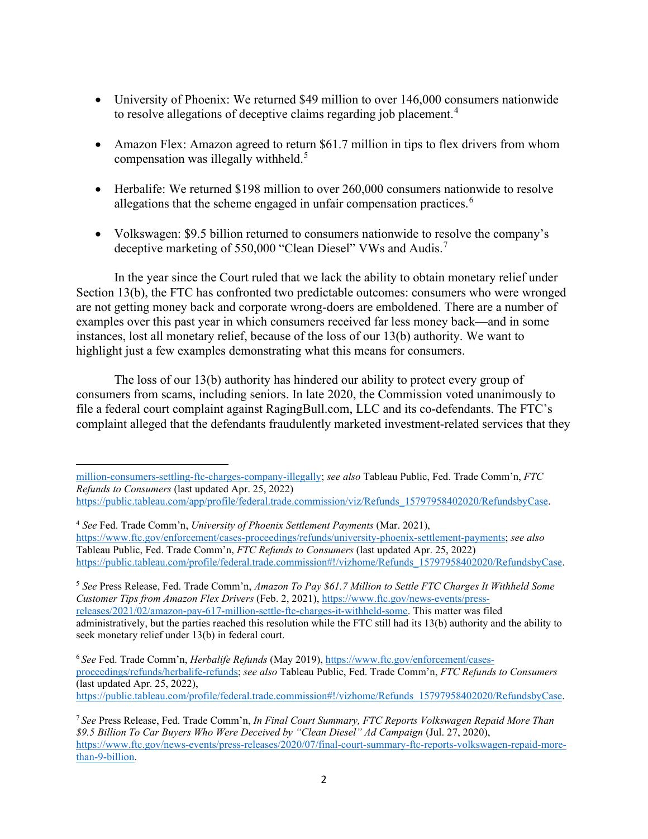- to resolve allegations of deceptive claims regarding job placement.<sup>[4](#page-1-0)</sup> • University of Phoenix: We returned \$49 million to over 146,000 consumers nationwide
- compensation was illegally withheld.<sup>[5](#page-1-1)</sup> • Amazon Flex: Amazon agreed to return \$61.7 million in tips to flex drivers from whom
- Herbalife: We returned \$198 million to over 260,000 consumers nationwide to resolve allegations that the scheme engaged in unfair compensation practices.<sup>[6](#page-1-2)</sup>
- • Volkswagen: \$9.5 billion returned to consumers nationwide to resolve the company's deceptive marketing of 550,000 "Clean Diesel" VWs and Audis.<sup>[7](#page-1-3)</sup>

In the year since the Court ruled that we lack the ability to obtain monetary relief under Section 13(b), the FTC has confronted two predictable outcomes: consumers who were wronged are not getting money back and corporate wrong-doers are emboldened. There are a number of examples over this past year in which consumers received far less money back—and in some instances, lost all monetary relief, because of the loss of our 13(b) authority. We want to highlight just a few examples demonstrating what this means for consumers.

 The loss of our 13(b) authority has hindered our ability to protect every group of complaint alleged that the defendants fraudulently marketed investment-related services that they consumers from scams, including seniors. In late 2020, the Commission voted unanimously to file a federal court complaint against [RagingBull.com](https://RagingBull.com), LLC and its co-defendants. The FTC's

<span id="page-1-1"></span> <sup>5</sup>*See* Press Release, Fed. Trade Comm'n, *Amazon To Pay \$61.7 Million to Settle FTC Charges It Withheld Some*  [releases/2021/02/amazon-pay-617-million-settle-ftc-charges-it-withheld-some.](https://www.ftc.gov/news-events/press-releases/2021/02/amazon-pay-617-million-settle-ftc-charges-it-withheld-some) This matter was filed *Customer Tips from Amazon Flex Drivers* (Feb. 2, 2021), [https://www.ftc.gov/news-events/press](https://www.ftc.gov/news-events/press-releases/2021/02/amazon-pay-617-million-settle-ftc-charges-it-withheld-some)administratively, but the parties reached this resolution while the FTC still had its 13(b) authority and the ability to seek monetary relief under 13(b) in federal court.

[million-consumers-settling-ftc-charges-company-illegally;](https://www.ftc.gov/news-events/news/press-releases/2019/07/reckitt-benckiser-group-plc-pay-50-million-consumers-settling-ftc-charges-company-illegally) *see also* Tableau Public, Fed. Trade Comm'n, *FTC Refunds to Consumers* (last updated Apr. 25, 2022)

[https://public.tableau.com/app/profile/federal.trade.commission/viz/Refunds\\_15797958402020/RefundsbyCase.](https://public.tableau.com/app/profile/federal.trade.commission/viz/Refunds_15797958402020/RefundsbyCase)

<span id="page-1-0"></span> <sup>4</sup>*See* Fed. Trade Comm'n, *University of Phoenix Settlement Payments* (Mar. 2021), [https://www.ftc.gov/enforcement/cases-proceedings/refunds/university-phoenix-settlement-payments;](https://www.ftc.gov/enforcement/cases-proceedings/refunds/university-phoenix-settlement-payments) *see also*  Tableau Public, Fed. Trade Comm'n, *FTC Refunds to Consumers* (last updated Apr. 25, 2022) [https://public.tableau.com/profile/federal.trade.commission#!/vizhome/Refunds\\_15797958402020/RefundsbyCase.](https://public.tableau.com/profile/federal.trade.commission#!/vizhome/Refunds_15797958402020/RefundsbyCase) 

<span id="page-1-2"></span><sup>6</sup> *See* Fed. Trade Comm'n, *Herbalife Refunds* (May 2019)[, h](https://www.ftc.gov/enforcement/cases-proceedings/refunds/herbalife-refunds)[ttps://www.ftc.gov/enforcement/case](https://www.ftc.gov/enforcement/cases)[s](https://www.ftc.gov/enforcement/cases-proceedings/refunds/herbalife-refunds)[proceedings/refunds/herbalife-refunds;](https://www.ftc.gov/enforcement/cases-proceedings/refunds/herbalife-refunds) *see also* Tableau Public, Fed. Trade Comm'n, *FTC Refunds to Consumers*  (last updated Apr. 25, 2022),

[https://public.tableau.com/profile/federal.trade.commission#!/vizhome/Refunds\\_15797958402020/RefundsbyCase.](https://public.tableau.com/profile/federal.trade.commission#!/vizhome/Refunds_15797958402020/RefundsbyCase) 

<span id="page-1-3"></span> *\$9.5 Billion To Car Buyers Who Were Deceived by "Clean Diesel" Ad Campaign* (Jul. 27, 2020), <sup>7</sup>*See* Press Release, Fed. Trade Comm'n, *In Final Court Summary, FTC Reports Volkswagen Repaid More Than*  [https://www.ftc.gov/news-events/press-releases/2020/07/final-court-summary-ftc-reports-volkswagen-repaid-more](https://www.ftc.gov/news-events/press-releases/2020/07/final-court-summary-ftc-reports-volkswagen-repaid-more-than-9-billion)[than-9-billion.](https://www.ftc.gov/news-events/press-releases/2020/07/final-court-summary-ftc-reports-volkswagen-repaid-more-than-9-billion)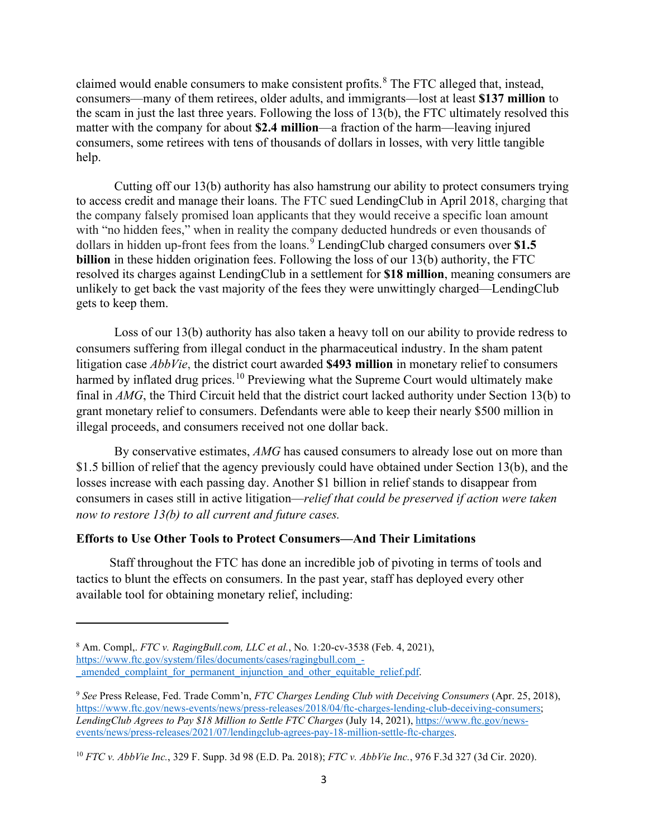help. claimed would enable consumers to make consistent profits.<sup>8</sup> The FTC alleged that, instead, consumers—many of them retirees, older adults, and immigrants—lost at least **\$137 million** to the scam in just the last three years. Following the loss of 13(b), the FTC ultimately resolved this matter with the company for about **\$2.4 million**—a fraction of the harm—leaving injured consumers, some retirees with tens of thousands of dollars in losses, with very little tangible

gets to keep them. Cutting off our 13(b) authority has also hamstrung our ability to protect consumers trying to access credit and manage their loans. The FTC sued LendingClub in April 2018, charging that the company falsely promised loan applicants that they would receive a specific loan amount with "no hidden fees," when in reality the company deducted hundreds or even thousands of dollars in hidden up-front fees from the loans.<sup>[9](#page-2-1)</sup> LendingClub charged consumers over \$1.5 **billion** in these hidden origination fees. Following the loss of our 13(b) authority, the FTC resolved its charges against LendingClub in a settlement for **\$18 million**, meaning consumers are unlikely to get back the vast majority of the fees they were unwittingly charged—LendingClub

Loss of our  $13(b)$  authority has also taken a heavy toll on our ability to provide redress to consumers suffering from illegal conduct in the pharmaceutical industry. In the sham patent litigation case *AbbVie*, the district court awarded **\$493 million** in monetary relief to consumers harmed by inflated drug [prices.](https://prices.10)<sup>[10](#page-2-2)</sup> Previewing what the Supreme Court would ultimately make final in *AMG*, the Third Circuit held that the district court lacked authority under Section 13(b) to grant monetary relief to consumers. Defendants were able to keep their nearly \$500 million in illegal proceeds, and consumers received not one dollar back.

By conservative estimates, *AMG* has caused consumers to already lose out on more than \$1.5 billion of relief that the agency previously could have obtained under Section 13(b), and the losses increase with each passing day. Another \$1 billion in relief stands to disappear from consumers in cases still in active litigation—*relief that could be preserved if action were taken now to restore 13(b) to all current and future cases.* 

## **Efforts to Use Other Tools to Protect Consumers—And Their Limitations**

available tool for obtaining monetary relief, including: available tool for obtaining monetary relief, including:<br> **8 Am.** Compl,. *FTC v. [RagingBull.com,](https://RagingBull.com) LLC et al.*, No. 1:20-cv-3538 (Feb. 4, 2021), Staff throughout the FTC has done an incredible job of pivoting in terms of tools and tactics to blunt the effects on consumers. In the past year, staff has deployed every other

<span id="page-2-0"></span>[https://www.ftc.gov/system/files/documents/cases/ragingbull.co](https://www.ftc.gov/system/files/documents/cases/ragingbull.com)[m\\_](https://www.ftc.gov/system/files/documents/cases/ragingbull.com_-_amended_complaint_for_permanent_injunction_and_other_equitable_relief.pdf) amended complaint for permanent injunction and other equitable relief.pdf.

<span id="page-2-1"></span> <sup>9</sup>*See* Press Release, Fed. Trade Comm'n, *FTC Charges Lending Club with Deceiving Consumers* (Apr. 25, 2018), [https://www.ftc.gov/news-events/news/press-releases/2018/04/ftc-charges-lending-club-deceiving-consumers;](https://www.ftc.gov/news-events/news/press-releases/2018/04/ftc-charges-lending-club-deceiving-consumers) *LendingClub Agrees to Pay \$18 Million to Settle FTC Charges* (July 14, 2021), [https://www.ftc.gov/news](https://www.ftc.gov/news-events/news/press-releases/2021/07/lendingclub-agrees-pay-18-million-settle-ftc-charges)[events/news/press-releases/2021/07/lendingclub-agrees-pay-18-million-settle-ftc-charges.](https://www.ftc.gov/news-events/news/press-releases/2021/07/lendingclub-agrees-pay-18-million-settle-ftc-charges)

<span id="page-2-2"></span><sup>10</sup>*FTC v. AbbVie Inc.*, 329 F. Supp. 3d 98 (E.D. Pa. 2018); *FTC v. AbbVie Inc.*, 976 F.3d 327 (3d Cir. 2020).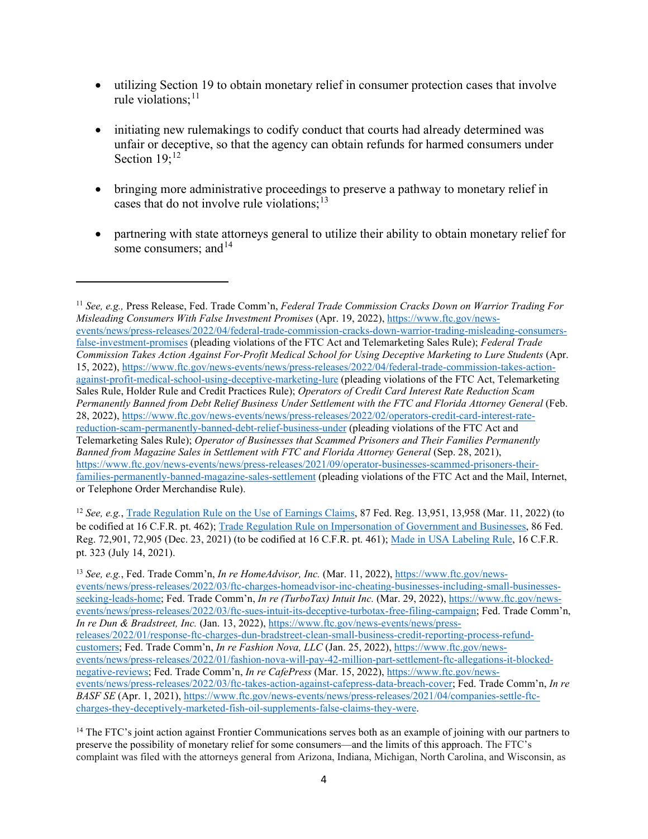- rule violations; $^{11}$  $^{11}$  $^{11}$ • utilizing Section 19 to obtain monetary relief in consumer protection cases that involve
- initiating new rulemakings to codify conduct that courts had already determined was unfair or deceptive, so that the agency can obtain refunds for harmed consumers under Section  $19$ ;<sup>[12](#page-3-1)</sup>
- cases that do not involve rule violations; $^{13}$ • bringing more administrative proceedings to preserve a pathway to monetary relief in
- • partnering with state attorneys general to utilize their ability to obtain monetary relief for some consumers; and <sup>14</sup>

<span id="page-3-1"></span><sup>12</sup>*See, e.g.*, [Trade Regulation Rule on the Use of Earnings Claims,](https://www.ftc.gov/news-events/news/press-releases/2022/02/ftc-takes-action-combat-bogus-money-making-claims-used-lure-people-dead-end-debt-traps) 87 Fed. Reg. 13,951, 13,958 (Mar. 11, 2022) (to be codified at 16 C.F.R. pt. 462)[; Trade Regulation Rule on Impersonation of Government and Businesses,](https://www.ftc.gov/news-events/news/press-releases/2021/12/ftc-launches-rulemaking-combat-sharp-spike-impersonation-fraud) 86 Fed. Reg. 72,901, 72,905 (Dec. 23, 2021) (to be codified at 16 C.F.R. pt. 461); [Made in USA Labeling Rule,](https://www.ftc.gov/news-events/news/press-releases/2021/07/ftc-issues-rule-deter-rampant-made-usa-fraud) 16 C.F.R. pt. 323 (July 14, 2021).

<span id="page-3-0"></span> <sup>11</sup>*See, e.g.,* Press Release, Fed. Trade Comm'n, *Federal Trade Commission Cracks Down on Warrior Trading For Misleading Consumers With False Investment Promises* (Apr. 19, 2022), [https://www.ftc.gov/news](https://www.ftc.gov/news-events/news/press-releases/2022/04/federal-trade-commission-cracks-down-warrior-trading-misleading-consumers-false-investment-promises)[events/news/press-releases/2022/04/federal-trade-commission-cracks-down-warrior-trading-misleading-consumers](https://www.ftc.gov/news-events/news/press-releases/2022/04/federal-trade-commission-cracks-down-warrior-trading-misleading-consumers-false-investment-promises)[false-investment-promises \(](https://www.ftc.gov/news-events/news/press-releases/2022/04/federal-trade-commission-cracks-down-warrior-trading-misleading-consumers-false-investment-promises)pleading violations of the FTC Act and Telemarketing Sales Rule); *Federal Trade Commission Takes Action Against For-Profit Medical School for Using Deceptive Marketing to Lure Students* (Apr. 15, 2022), [https://www.ftc.gov/news-events/news/press-releases/2022/04/federal-trade-commission-takes-action](https://www.ftc.gov/news-events/news/press-releases/2022/04/federal-trade-commission-takes-action-against-profit-medical-school-using-deceptive-marketing-lure)[against-profit-medical-school-using-deceptive-marketing-lure](https://www.ftc.gov/news-events/news/press-releases/2022/04/federal-trade-commission-takes-action-against-profit-medical-school-using-deceptive-marketing-lure) (pleading violations of the FTC Act, Telemarketing Sales Rule, Holder Rule and Credit Practices Rule); *Operators of Credit Card Interest Rate Reduction Scam Permanently Banned from Debt Relief Business Under Settlement with the FTC and Florida Attorney General* (Feb. 28, 2022),<https://www.ftc.gov/news-events/news/press-releases/2022/02/operators-credit-card-interest-rate>[reduction-scam-permanently-banned-debt-relief-business-under](https://www.ftc.gov/news-events/news/press-releases/2022/02/operators-credit-card-interest-rate-reduction-scam-permanently-banned-debt-relief-business-under) (pleading violations of the FTC Act and Telemarketing Sales Rule); *Operator of Businesses that Scammed Prisoners and Their Families Permanently Banned from Magazine Sales in Settlement with FTC and Florida Attorney General (Sep. 28, 2021),* <https://www.ftc.gov/news-events/news/press-releases/2021/09/operator-businesses-scammed-prisoners-their>[families-permanently-banned-magazine-sales-settlement](https://www.ftc.gov/news-events/news/press-releases/2021/09/operator-businesses-scammed-prisoners-their-families-permanently-banned-magazine-sales-settlement) (pleading violations of the FTC Act and the Mail, Internet, or Telephone Order Merchandise Rule).

<span id="page-3-2"></span> [seeking-leads-home;](https://www.ftc.gov/news-events/news/press-releases/2022/03/ftc-charges-homeadvisor-inc-cheating-businesses-including-small-businesses-seeking-leads-home) Fed. Trade Comm'n, *In re (TurboTax) Intuit Inc.* (Mar. 29, 2022), [https://www.ftc.gov/news-](https://www.ftc.gov/news-events/news/press-releases/2022/03/ftc-sues-intuit-its-deceptive-turbotax-free-filing-campaign)*In re Dun & Bradstreet, Inc.* (Jan. 13, 2022)[, https://www.ftc.gov/news-events/news/press-](https://www.ftc.gov/news-events/news/press-releases/2022/01/response-ftc-charges-dun-bradstreet-clean-small-business-credit-reporting-process-refund-customers) [negative-reviews;](https://www.ftc.gov/news-events/news/press-releases/2022/01/fashion-nova-will-pay-42-million-part-settlement-ftc-allegations-it-blocked-negative-reviews) Fed. Trade Comm'n, *In re CafePress* (Mar. 15, 2022)[, https://www.ftc.gov/news-](https://www.ftc.gov/news-events/news/press-releases/2022/03/ftc-takes-action-against-cafepress-data-breach-cover) *BASF SE* (Apr. 1, 2021)[, https://www.ftc.gov/news-events/news/press-releases/2021/04/companies-settle-ftc-](https://www.ftc.gov/news-events/news/press-releases/2021/04/companies-settle-ftc-charges-they-deceptively-marketed-fish-oil-supplements-false-claims-they-were)13 *See, e.g.*, Fed. Trade Comm'n, *In re HomeAdvisor, Inc.* (Mar. 11, 2022)[, https://www.ftc.gov/news](https://www.ftc.gov/news-events/news/press-releases/2022/03/ftc-charges-homeadvisor-inc-cheating-businesses-including-small-businesses-seeking-leads-home)[events/news/press-releases/2022/03/ftc-charges-homeadvisor-inc-cheating-businesses-including-small-businesses](https://www.ftc.gov/news-events/news/press-releases/2022/03/ftc-charges-homeadvisor-inc-cheating-businesses-including-small-businesses-seeking-leads-home)[events/news/press-releases/2022/03/ftc-sues-intuit-its-deceptive-turbotax-free-filing-campaign;](https://www.ftc.gov/news-events/news/press-releases/2022/03/ftc-sues-intuit-its-deceptive-turbotax-free-filing-campaign) Fed. Trade Comm'n, [releases/2022/01/response-ftc-charges-dun-bradstreet-clean-small-business-credit-reporting-process-refund](https://www.ftc.gov/news-events/news/press-releases/2022/01/response-ftc-charges-dun-bradstreet-clean-small-business-credit-reporting-process-refund-customers)[customers;](https://www.ftc.gov/news-events/news/press-releases/2022/01/response-ftc-charges-dun-bradstreet-clean-small-business-credit-reporting-process-refund-customers) Fed. Trade Comm'n, *In re Fashion Nova, LLC* (Jan. 25, 2022)[, https://www.ftc.gov/news](https://www.ftc.gov/news-events/news/press-releases/2022/01/fashion-nova-will-pay-42-million-part-settlement-ftc-allegations-it-blocked-negative-reviews)[events/news/press-releases/2022/01/fashion-nova-will-pay-42-million-part-settlement-ftc-allegations-it-blocked](https://www.ftc.gov/news-events/news/press-releases/2022/01/fashion-nova-will-pay-42-million-part-settlement-ftc-allegations-it-blocked-negative-reviews)[events/news/press-releases/2022/03/ftc-takes-action-against-cafepress-data-breach-cover;](https://www.ftc.gov/news-events/news/press-releases/2022/03/ftc-takes-action-against-cafepress-data-breach-cover) Fed. Trade Comm'n, *In re*  [charges-they-deceptively-marketed-fish-oil-supplements-false-claims-they-were.](https://www.ftc.gov/news-events/news/press-releases/2021/04/companies-settle-ftc-charges-they-deceptively-marketed-fish-oil-supplements-false-claims-they-were)

<span id="page-3-3"></span><sup>&</sup>lt;sup>14</sup> The FTC's joint action against Frontier Communications serves both as an example of joining with our partners to preserve the possibility of monetary relief for some consumers—and the limits of this approach. The FTC's complaint was filed with the attorneys general from Arizona, Indiana, Michigan, North Carolina, and Wisconsin, as